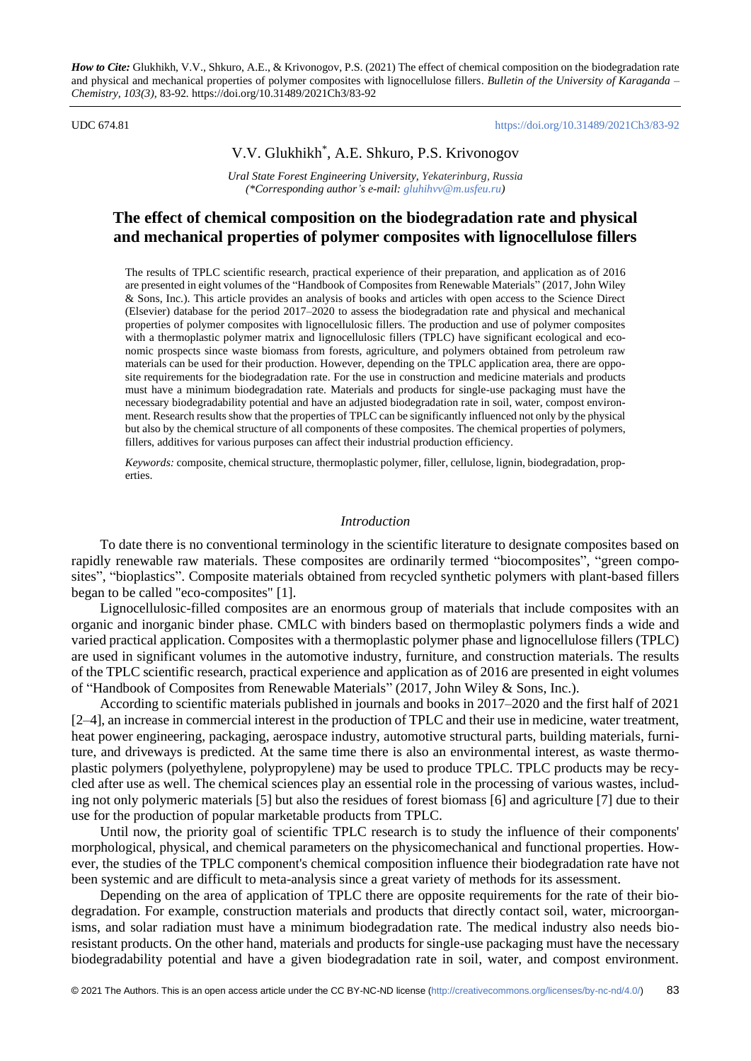*How to Cite:* Glukhikh, V.V., Shkuro, A.E., & Krivonogov, P.S. (2021) The effect of chemical composition on the biodegradation rate and physical and mechanical properties of polymer composites with lignocellulose fillers. *Bulletin of the University of Karaganda – Chemistry, 103(3),* 83-92*.* https://doi.org/10.31489/2021Ch3/83-92

#### UDC 674.81 <https://doi.org/10.31489/2021Ch3/83-92>

## V.V. Glukhikh\* , A.E. Shkuro, P.S. Krivonogov

*Ural State Forest Engineering University, Yekaterinburg, Russia (\*Corresponding author's e-mail: [gluhihvv@m.usfeu.ru\)](mailto:gluhihvv@m.usfeu.ru)*

# **The effect of chemical composition on the biodegradation rate and physical and mechanical properties of polymer composites with lignocellulose fillers**

The results of TPLC scientific research, practical experience of their preparation, and application as of 2016 are presented in eight volumes of the "Handbook of Composites from Renewable Materials" (2017, John Wiley & Sons, Inc.). This article provides an analysis of books and articles with open access to the Science Direct (Elsevier) database for the period 2017–2020 to assess the biodegradation rate and physical and mechanical properties of polymer composites with lignocellulosic fillers. The production and use of polymer composites with a thermoplastic polymer matrix and lignocellulosic fillers (TPLC) have significant ecological and economic prospects since waste biomass from forests, agriculture, and polymers obtained from petroleum raw materials can be used for their production. However, depending on the TPLC application area, there are opposite requirements for the biodegradation rate. For the use in construction and medicine materials and products must have a minimum biodegradation rate. Materials and products for single-use packaging must have the necessary biodegradability potential and have an adjusted biodegradation rate in soil, water, compost environment. Research results show that the properties of TPLC can be significantly influenced not only by the physical but also by the chemical structure of all components of these composites. The chemical properties of polymers, fillers, additives for various purposes can affect their industrial production efficiency.

*Keywords:* composite, chemical structure, thermoplastic polymer, filler, cellulose, lignin, biodegradation, properties.

### *Introduction*

To date there is no conventional terminology in the scientific literature to designate composites based on rapidly renewable raw materials. These composites are ordinarily termed "biocomposites", "green composites", "bioplastics". Composite materials obtained from recycled synthetic polymers with plant-based fillers began to be called "eco-composites" [1].

Lignocellulosic-filled composites are an enormous group of materials that include composites with an organic and inorganic binder phase. CМLC with binders based on thermoplastic polymers finds a wide and varied practical application. Composites with a thermoplastic polymer phase and lignocellulose fillers (TPLC) are used in significant volumes in the automotive industry, furniture, and construction materials. The results of the TPLC scientific research, practical experience and application as of 2016 are presented in eight volumes of "Handbook of Composites from Renewable Materials" (2017, John Wiley & Sons, Inc.).

According to scientific materials published in journals and books in 2017–2020 and the first half of 2021 [2–4], an increase in commercial interest in the production of TPLC and their use in medicine, water treatment, heat power engineering, packaging, aerospace industry, automotive structural parts, building materials, furniture, and driveways is predicted. At the same time there is also an environmental interest, as waste thermoplastic polymers (polyethylene, polypropylene) may be used to produce TPLC. TPLC products may be recycled after use as well. The chemical sciences play an essential role in the processing of various wastes, including not only polymeric materials [5] but also the residues of forest biomass [6] and agriculture [7] due to their use for the production of popular marketable products from TPLC.

Until now, the priority goal of scientific TPLC research is to study the influence of their components' morphological, physical, and chemical parameters on the physicomechanical and functional properties. However, the studies of the TPLC component's chemical composition influence their biodegradation rate have not been systemic and are difficult to meta-analysis since a great variety of methods for its assessment.

Depending on the area of application of TPLC there are opposite requirements for the rate of their biodegradation. For example, construction materials and products that directly contact soil, water, microorganisms, and solar radiation must have a minimum biodegradation rate. The medical industry also needs bioresistant products. On the other hand, materials and products for single-use packaging must have the necessary biodegradability potential and have a given biodegradation rate in soil, water, and compost environment.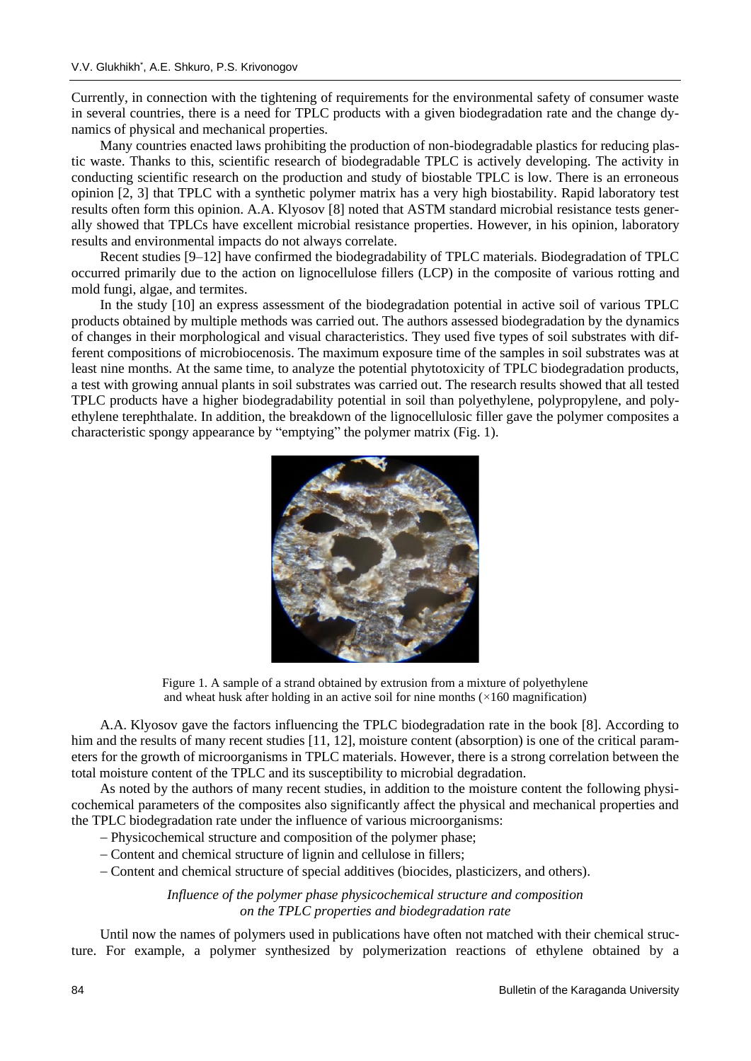Currently, in connection with the tightening of requirements for the environmental safety of consumer waste in several countries, there is a need for TPLC products with a given biodegradation rate and the change dynamics of physical and mechanical properties.

Many countries enacted laws prohibiting the production of non-biodegradable plastics for reducing plastic waste. Thanks to this, scientific research of biodegradable TPLC is actively developing. The activity in conducting scientific research on the production and study of biostable TPLC is low. There is an erroneous opinion [2, 3] that TPLC with a synthetic polymer matrix has a very high biostability. Rapid laboratory test results often form this opinion. A.A. Klyosov [8] noted that ASTM standard microbial resistance tests generally showed that TPLCs have excellent microbial resistance properties. However, in his opinion, laboratory results and environmental impacts do not always correlate.

Recent studies [9–12] have confirmed the biodegradability of TPLC materials. Biodegradation of TPLC occurred primarily due to the action on lignocellulose fillers (LCP) in the composite of various rotting and mold fungi, algae, and termites.

In the study [10] an express assessment of the biodegradation potential in active soil of various TPLC products obtained by multiple methods was carried out. The authors assessed biodegradation by the dynamics of changes in their morphological and visual characteristics. They used five types of soil substrates with different compositions of microbiocenosis. The maximum exposure time of the samples in soil substrates was at least nine months. At the same time, to analyze the potential phytotoxicity of TPLC biodegradation products, a test with growing annual plants in soil substrates was carried out. The research results showed that all tested TPLC products have a higher biodegradability potential in soil than polyethylene, polypropylene, and polyethylene terephthalate. In addition, the breakdown of the lignocellulosic filler gave the polymer composites a characteristic spongy appearance by "emptying" the polymer matrix (Fig. 1).



Figure 1. A sample of a strand obtained by extrusion from a mixture of polyethylene and wheat husk after holding in an active soil for nine months  $(\times 160$  magnification)

A.A. Klyosov gave the factors influencing the TPLC biodegradation rate in the book [8]. According to him and the results of many recent studies [11, 12], moisture content (absorption) is one of the critical parameters for the growth of microorganisms in TPLC materials. However, there is a strong correlation between the total moisture content of the TPLC and its susceptibility to microbial degradation.

As noted by the authors of many recent studies, in addition to the moisture content the following physicochemical parameters of the composites also significantly affect the physical and mechanical properties and the TPLC biodegradation rate under the influence of various microorganisms:

- − Physicochemical structure and composition of the polymer phase;
- − Content and chemical structure of lignin and cellulose in fillers;
- − Content and chemical structure of special additives (biocides, plasticizers, and others).

*Influence of the polymer phase physicochemical structure and composition on the TPLC properties and biodegradation rate*

Until now the names of polymers used in publications have often not matched with their chemical structure. For example, a polymer synthesized by polymerization reactions of ethylene obtained by a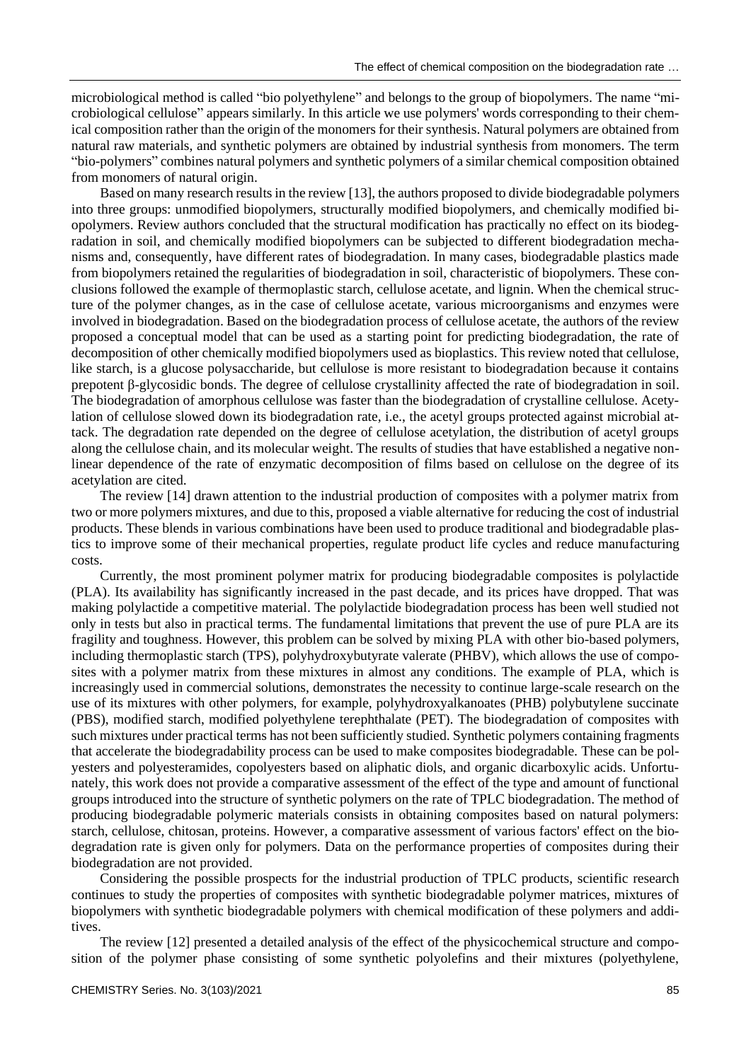microbiological method is called "bio polyethylene" and belongs to the group of biopolymers. The name "microbiological cellulose" appears similarly. In this article we use polymers' words corresponding to their chemical composition rather than the origin of the monomers for their synthesis. Natural polymers are obtained from natural raw materials, and synthetic polymers are obtained by industrial synthesis from monomers. The term "bio-polymers" combines natural polymers and synthetic polymers of a similar chemical composition obtained from monomers of natural origin.

Based on many research results in the review [13], the authors proposed to divide biodegradable polymers into three groups: unmodified biopolymers, structurally modified biopolymers, and chemically modified biopolymers. Review authors concluded that the structural modification has practically no effect on its biodegradation in soil, and chemically modified biopolymers can be subjected to different biodegradation mechanisms and, consequently, have different rates of biodegradation. In many cases, biodegradable plastics made from biopolymers retained the regularities of biodegradation in soil, characteristic of biopolymers. These conclusions followed the example of thermoplastic starch, cellulose acetate, and lignin. When the chemical structure of the polymer changes, as in the case of cellulose acetate, various microorganisms and enzymes were involved in biodegradation. Based on the biodegradation process of cellulose acetate, the authors of the review proposed a conceptual model that can be used as a starting point for predicting biodegradation, the rate of decomposition of other chemically modified biopolymers used as bioplastics. This review noted that cellulose, like starch, is a glucose polysaccharide, but cellulose is more resistant to biodegradation because it contains prepotent β-glycosidic bonds. The degree of cellulose crystallinity affected the rate of biodegradation in soil. The biodegradation of amorphous cellulose was faster than the biodegradation of crystalline cellulose. Acetylation of cellulose slowed down its biodegradation rate, i.e., the acetyl groups protected against microbial attack. The degradation rate depended on the degree of cellulose acetylation, the distribution of acetyl groups along the cellulose chain, and its molecular weight. The results of studies that have established a negative nonlinear dependence of the rate of enzymatic decomposition of films based on cellulose on the degree of its acetylation are cited.

The review [14] drawn attention to the industrial production of composites with a polymer matrix from two or more polymers mixtures, and due to this, proposed a viable alternative for reducing the cost of industrial products. These blends in various combinations have been used to produce traditional and biodegradable plastics to improve some of their mechanical properties, regulate product life cycles and reduce manufacturing costs.

Currently, the most prominent polymer matrix for producing biodegradable composites is polylactide (PLA). Its availability has significantly increased in the past decade, and its prices have dropped. That was making polylactide a competitive material. The polylactide biodegradation process has been well studied not only in tests but also in practical terms. The fundamental limitations that prevent the use of pure PLA are its fragility and toughness. However, this problem can be solved by mixing PLA with other bio-based polymers, including thermoplastic starch (TPS), polyhydroxybutyrate valerate (PHBV), which allows the use of composites with a polymer matrix from these mixtures in almost any conditions. The example of PLA, which is increasingly used in commercial solutions, demonstrates the necessity to continue large-scale research on the use of its mixtures with other polymers, for example, polyhydroxyalkanoates (PHB) polybutylene succinate (PBS), modified starch, modified polyethylene terephthalate (PET). The biodegradation of composites with such mixtures under practical terms has not been sufficiently studied. Synthetic polymers containing fragments that accelerate the biodegradability process can be used to make composites biodegradable. These can be polyesters and polyesteramides, copolyesters based on aliphatic diols, and organic dicarboxylic acids. Unfortunately, this work does not provide a comparative assessment of the effect of the type and amount of functional groups introduced into the structure of synthetic polymers on the rate of TPLC biodegradation. The method of producing biodegradable polymeric materials consists in obtaining composites based on natural polymers: starch, cellulose, chitosan, proteins. However, a comparative assessment of various factors' effect on the biodegradation rate is given only for polymers. Data on the performance properties of composites during their biodegradation are not provided.

Considering the possible prospects for the industrial production of TPLC products, scientific research continues to study the properties of composites with synthetic biodegradable polymer matrices, mixtures of biopolymers with synthetic biodegradable polymers with chemical modification of these polymers and additives.

The review [12] presented a detailed analysis of the effect of the physicochemical structure and composition of the polymer phase consisting of some synthetic polyolefins and their mixtures (polyethylene,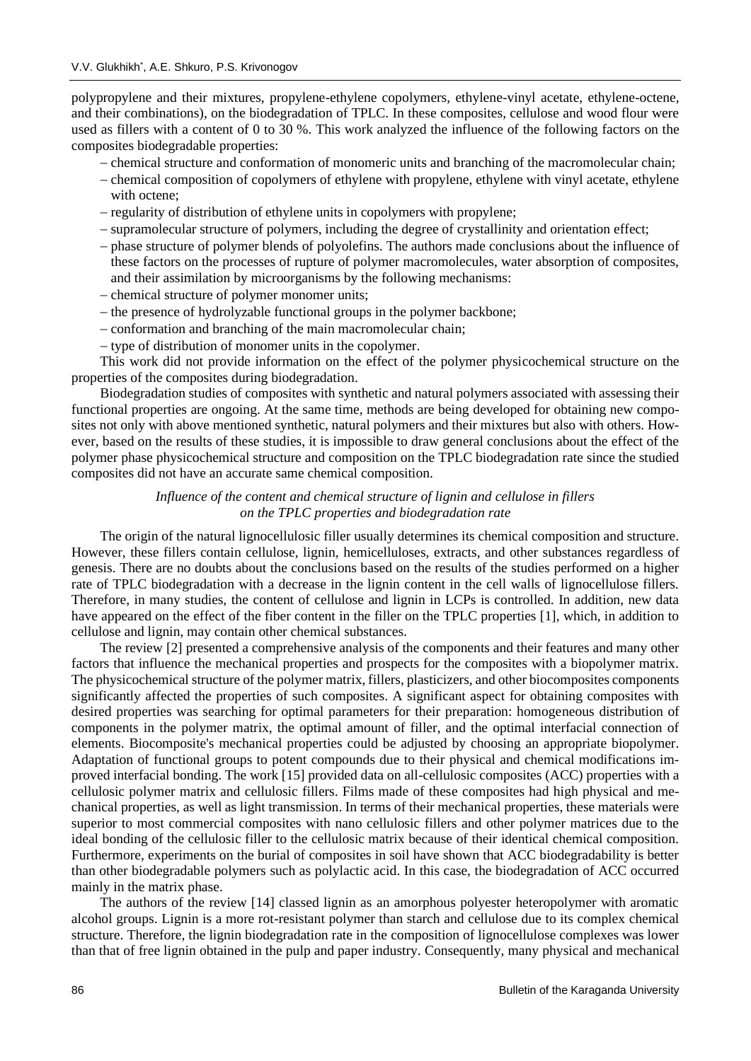polypropylene and their mixtures, propylene-ethylene copolymers, ethylene-vinyl acetate, ethylene-octene, and their combinations), on the biodegradation of TPLC. In these composites, cellulose and wood flour were used as fillers with a content of 0 to 30 %. This work analyzed the influence of the following factors on the composites biodegradable properties:

- − chemical structure and conformation of monomeric units and branching of the macromolecular chain;
- − chemical composition of copolymers of ethylene with propylene, ethylene with vinyl acetate, ethylene with octene;
- − regularity of distribution of ethylene units in copolymers with propylene;
- − supramolecular structure of polymers, including the degree of crystallinity and orientation effect;
- − phase structure of polymer blends of polyolefins. The authors made conclusions about the influence of these factors on the processes of rupture of polymer macromolecules, water absorption of composites, and their assimilation by microorganisms by the following mechanisms:
- − chemical structure of polymer monomer units;
- − the presence of hydrolyzable functional groups in the polymer backbone;
- − conformation and branching of the main macromolecular chain;
- − type of distribution of monomer units in the copolymer.

This work did not provide information on the effect of the polymer physicochemical structure on the properties of the composites during biodegradation.

Biodegradation studies of composites with synthetic and natural polymers associated with assessing their functional properties are ongoing. At the same time, methods are being developed for obtaining new composites not only with above mentioned synthetic, natural polymers and their mixtures but also with others. However, based on the results of these studies, it is impossible to draw general conclusions about the effect of the polymer phase physicochemical structure and composition on the TPLC biodegradation rate since the studied composites did not have an accurate same chemical composition.

## *Influence of the content and chemical structure of lignin and cellulose in fillers on the TPLC properties and biodegradation rate*

The origin of the natural lignocellulosic filler usually determines its chemical composition and structure. However, these fillers contain cellulose, lignin, hemicelluloses, extracts, and other substances regardless of genesis. There are no doubts about the conclusions based on the results of the studies performed on a higher rate of TPLC biodegradation with a decrease in the lignin content in the cell walls of lignocellulose fillers. Therefore, in many studies, the content of cellulose and lignin in LCPs is controlled. In addition, new data have appeared on the effect of the fiber content in the filler on the TPLC properties [1], which, in addition to cellulose and lignin, may contain other chemical substances.

The review [2] presented a comprehensive analysis of the components and their features and many other factors that influence the mechanical properties and prospects for the composites with a biopolymer matrix. The physicochemical structure of the polymer matrix, fillers, plasticizers, and other biocomposites components significantly affected the properties of such composites. A significant aspect for obtaining composites with desired properties was searching for optimal parameters for their preparation: homogeneous distribution of components in the polymer matrix, the optimal amount of filler, and the optimal interfacial connection of elements. Biocomposite's mechanical properties could be adjusted by choosing an appropriate biopolymer. Adaptation of functional groups to potent compounds due to their physical and chemical modifications improved interfacial bonding. The work [15] provided data on all-cellulosic composites (ACC) properties with a cellulosic polymer matrix and cellulosic fillers. Films made of these composites had high physical and mechanical properties, as well as light transmission. In terms of their mechanical properties, these materials were superior to most commercial composites with nano cellulosic fillers and other polymer matrices due to the ideal bonding of the cellulosic filler to the cellulosic matrix because of their identical chemical composition. Furthermore, experiments on the burial of composites in soil have shown that ACC biodegradability is better than other biodegradable polymers such as polylactic acid. In this case, the biodegradation of ACC occurred mainly in the matrix phase.

The authors of the review [14] classed lignin as an amorphous polyester heteropolymer with aromatic alcohol groups. Lignin is a more rot-resistant polymer than starch and cellulose due to its complex chemical structure. Therefore, the lignin biodegradation rate in the composition of lignocellulose complexes was lower than that of free lignin obtained in the pulp and paper industry. Consequently, many physical and mechanical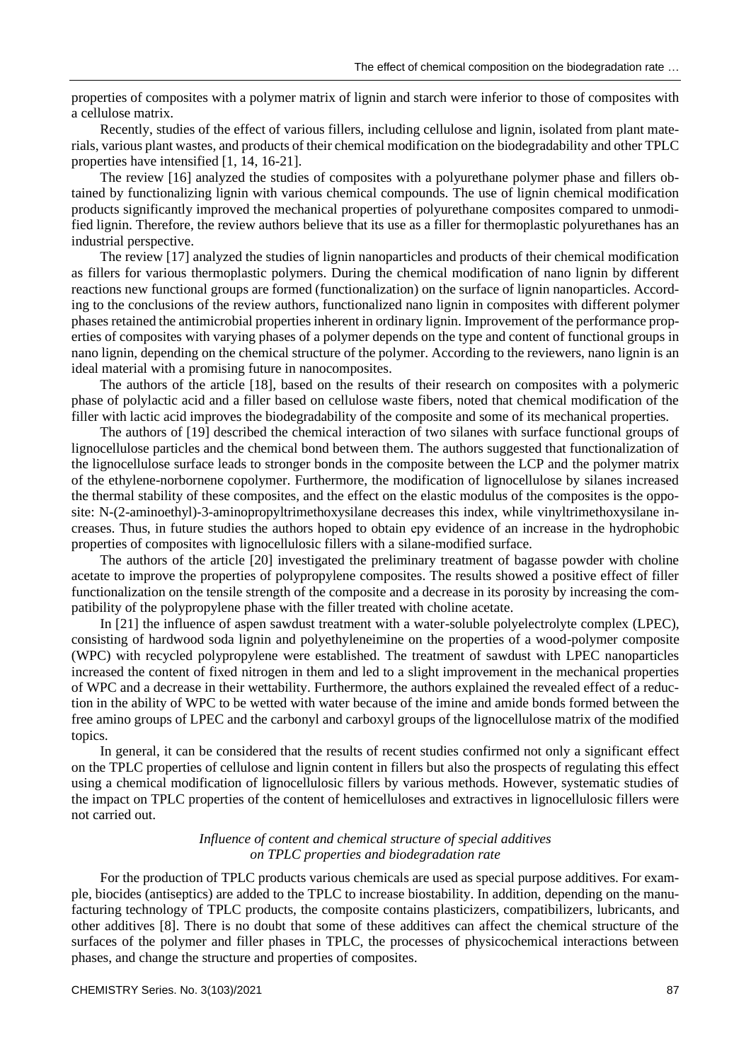properties of composites with a polymer matrix of lignin and starch were inferior to those of composites with a cellulose matrix.

Recently, studies of the effect of various fillers, including cellulose and lignin, isolated from plant materials, various plant wastes, and products of their chemical modification on the biodegradability and other TPLC properties have intensified [1, 14, 16-21].

The review [16] analyzed the studies of composites with a polyurethane polymer phase and fillers obtained by functionalizing lignin with various chemical compounds. The use of lignin chemical modification products significantly improved the mechanical properties of polyurethane composites compared to unmodified lignin. Therefore, the review authors believe that its use as a filler for thermoplastic polyurethanes has an industrial perspective.

The review [17] analyzed the studies of lignin nanoparticles and products of their chemical modification as fillers for various thermoplastic polymers. During the chemical modification of nano lignin by different reactions new functional groups are formed (functionalization) on the surface of lignin nanoparticles. According to the conclusions of the review authors, functionalized nano lignin in composites with different polymer phases retained the antimicrobial properties inherent in ordinary lignin. Improvement of the performance properties of composites with varying phases of a polymer depends on the type and content of functional groups in nano lignin, depending on the chemical structure of the polymer. According to the reviewers, nano lignin is an ideal material with a promising future in nanocomposites.

The authors of the article [18], based on the results of their research on composites with a polymeric phase of polylactic acid and a filler based on cellulose waste fibers, noted that chemical modification of the filler with lactic acid improves the biodegradability of the composite and some of its mechanical properties.

The authors of [19] described the chemical interaction of two silanes with surface functional groups of lignocellulose particles and the chemical bond between them. The authors suggested that functionalization of the lignocellulose surface leads to stronger bonds in the composite between the LCP and the polymer matrix of the ethylene-norbornene copolymer. Furthermore, the modification of lignocellulose by silanes increased the thermal stability of these composites, and the effect on the elastic modulus of the composites is the opposite: N-(2-aminoethyl)-3-aminopropyltrimethoxysilane decreases this index, while vinyltrimethoxysilane increases. Thus, in future studies the authors hoped to obtain еру evidence of an increase in the hydrophobic properties of composites with lignocellulosic fillers with a silane-modified surface.

The authors of the article [20] investigated the preliminary treatment of bagasse powder with choline acetate to improve the properties of polypropylene composites. The results showed a positive effect of filler functionalization on the tensile strength of the composite and a decrease in its porosity by increasing the compatibility of the polypropylene phase with the filler treated with choline acetate.

In [21] the influence of aspen sawdust treatment with a water-soluble polyelectrolyte complex (LPEC), consisting of hardwood soda lignin and polyethyleneimine on the properties of a wood-polymer composite (WPC) with recycled polypropylene were established. The treatment of sawdust with LPEC nanoparticles increased the content of fixed nitrogen in them and led to a slight improvement in the mechanical properties of WPC and a decrease in their wettability. Furthermore, the authors explained the revealed effect of a reduction in the ability of WPC to be wetted with water because of the imine and amide bonds formed between the free amino groups of LPEC and the carbonyl and carboxyl groups of the lignocellulose matrix of the modified topics.

In general, it can be considered that the results of recent studies confirmed not only a significant effect on the TPLC properties of cellulose and lignin content in fillers but also the prospects of regulating this effect using a chemical modification of lignocellulosic fillers by various methods. However, systematic studies of the impact on TPLC properties of the content of hemicelluloses and extractives in lignocellulosic fillers were not carried out.

## *Influence of content and chemical structure of special additives on TPLC properties and biodegradation rate*

For the production of TPLC products various chemicals are used as special purpose additives. For example, biocides (antiseptics) are added to the TPLC to increase biostability. In addition, depending on the manufacturing technology of TPLC products, the composite contains plasticizers, compatibilizers, lubricants, and other additives [8]. There is no doubt that some of these additives can affect the chemical structure of the surfaces of the polymer and filler phases in TPLC, the processes of physicochemical interactions between phases, and change the structure and properties of composites.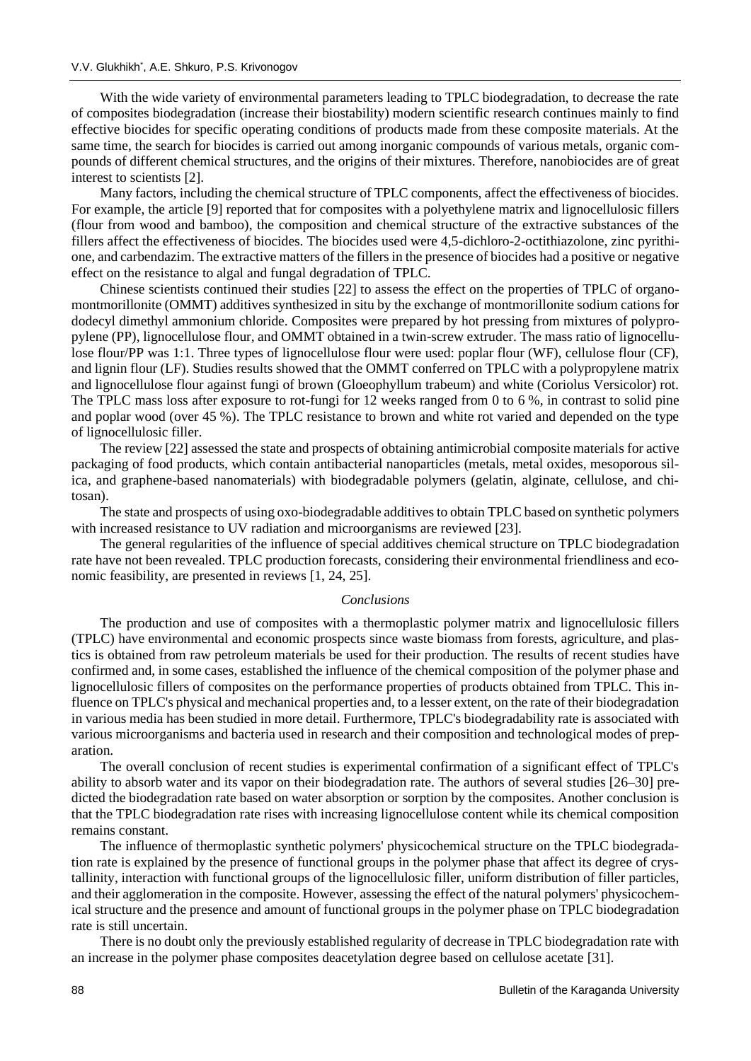With the wide variety of environmental parameters leading to TPLC biodegradation, to decrease the rate of composites biodegradation (increase their biostability) modern scientific research continues mainly to find effective biocides for specific operating conditions of products made from these composite materials. At the same time, the search for biocides is carried out among inorganic compounds of various metals, organic compounds of different chemical structures, and the origins of their mixtures. Therefore, nanobiocides are of great interest to scientists [2].

Many factors, including the chemical structure of TPLC components, affect the effectiveness of biocides. For example, the article [9] reported that for composites with a polyethylene matrix and lignocellulosic fillers (flour from wood and bamboo), the composition and chemical structure of the extractive substances of the fillers affect the effectiveness of biocides. The biocides used were 4,5-dichloro-2-octithiazolone, zinc pyrithione, and carbendazim. The extractive matters of the fillers in the presence of biocides had a positive or negative effect on the resistance to algal and fungal degradation of TPLC.

Chinese scientists continued their studies [22] to assess the effect on the properties of TPLC of organomontmorillonite (OMMT) additives synthesized in situ by the exchange of montmorillonite sodium cations for dodecyl dimethyl ammonium chloride. Composites were prepared by hot pressing from mixtures of polypropylene (PP), lignocellulose flour, and OMMT obtained in a twin-screw extruder. The mass ratio of lignocellulose flour/PP was 1:1. Three types of lignocellulose flour were used: poplar flour (WF), cellulose flour (CF), and lignin flour (LF). Studies results showed that the OMMT conferred on TPLC with a polypropylene matrix and lignocellulose flour against fungi of brown (Gloeophyllum trabeum) and white (Coriolus Versicolor) rot. The TPLC mass loss after exposure to rot-fungi for 12 weeks ranged from 0 to 6 %, in contrast to solid pine and poplar wood (over 45 %). The TPLC resistance to brown and white rot varied and depended on the type of lignocellulosic filler.

The review [22] assessed the state and prospects of obtaining antimicrobial composite materials for active packaging of food products, which contain antibacterial nanoparticles (metals, metal oxides, mesoporous silica, and graphene-based nanomaterials) with biodegradable polymers (gelatin, alginate, cellulose, and chitosan).

The state and prospects of using oxo-biodegradable additives to obtain TPLC based on synthetic polymers with increased resistance to UV radiation and microorganisms are reviewed [23].

The general regularities of the influence of special additives chemical structure on TPLC biodegradation rate have not been revealed. TPLC production forecasts, considering their environmental friendliness and economic feasibility, are presented in reviews [1, 24, 25].

#### *Conclusions*

The production and use of composites with a thermoplastic polymer matrix and lignocellulosic fillers (TPLC) have environmental and economic prospects since waste biomass from forests, agriculture, and plastics is obtained from raw petroleum materials be used for their production. The results of recent studies have confirmed and, in some cases, established the influence of the chemical composition of the polymer phase and lignocellulosic fillers of composites on the performance properties of products obtained from TPLC. This influence on TPLC's physical and mechanical properties and, to a lesser extent, on the rate of their biodegradation in various media has been studied in more detail. Furthermore, TPLC's biodegradability rate is associated with various microorganisms and bacteria used in research and their composition and technological modes of preparation.

The overall conclusion of recent studies is experimental confirmation of a significant effect of TPLC's ability to absorb water and its vapor on their biodegradation rate. The authors of several studies [26–30] predicted the biodegradation rate based on water absorption or sorption by the composites. Another conclusion is that the TPLC biodegradation rate rises with increasing lignocellulose content while its chemical composition remains constant.

The influence of thermoplastic synthetic polymers' physicochemical structure on the TPLC biodegradation rate is explained by the presence of functional groups in the polymer phase that affect its degree of crystallinity, interaction with functional groups of the lignocellulosic filler, uniform distribution of filler particles, and their agglomeration in the composite. However, assessing the effect of the natural polymers' physicochemical structure and the presence and amount of functional groups in the polymer phase on TPLC biodegradation rate is still uncertain.

There is no doubt only the previously established regularity of decrease in TPLC biodegradation rate with an increase in the polymer phase composites deacetylation degree based on cellulose acetate [31].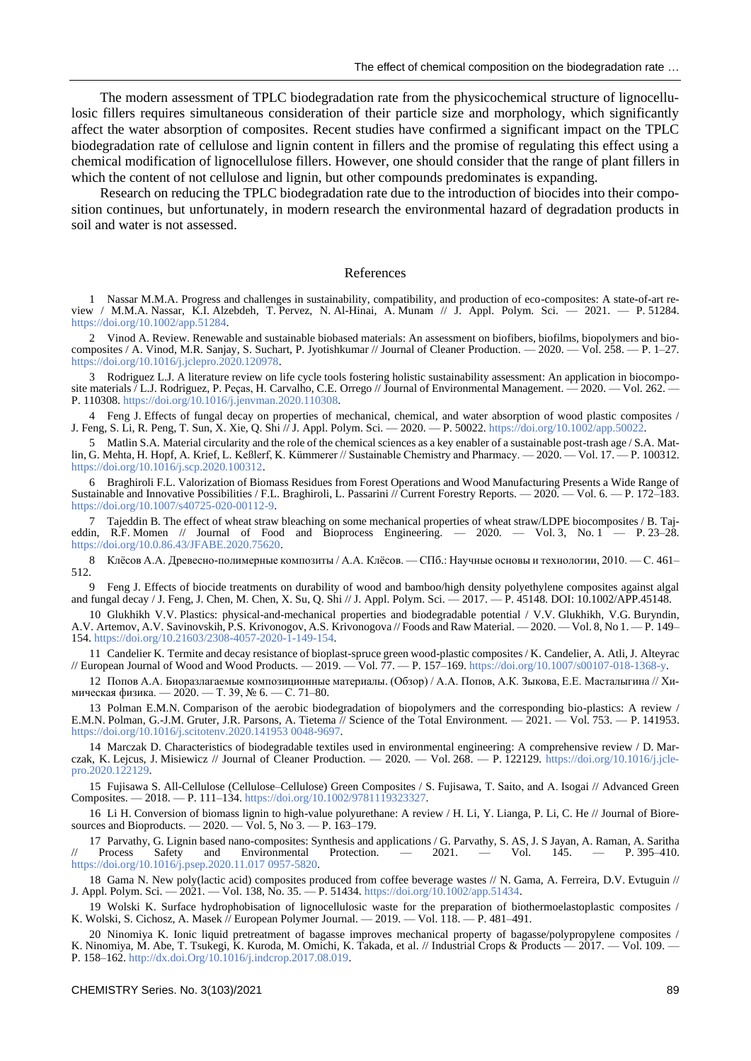The modern assessment of TPLC biodegradation rate from the physicochemical structure of lignocellulosic fillers requires simultaneous consideration of their particle size and morphology, which significantly affect the water absorption of composites. Recent studies have confirmed a significant impact on the TPLC biodegradation rate of cellulose and lignin content in fillers and the promise of regulating this effect using a chemical modification of lignocellulose fillers. However, one should consider that the range of plant fillers in which the content of not cellulose and lignin, but other compounds predominates is expanding.

Research on reducing the TPLC biodegradation rate due to the introduction of biocides into their composition continues, but unfortunately, in modern research the environmental hazard of degradation products in soil and water is not assessed.

#### References

1 Nassar M.M.A. Progress and challenges in sustainability, compatibility, and production of eco-composites: A state-of-art review / M.M.A. Nassar, K.I. Alzebdeh, T. Pervez, N. Al-Hinai, A. Munam // J. Appl. Polym. Sci. — 2021. — P. 51284. [https://doi.org/10.1002/app.51284.](https://doi.org/10.1002/app.51284)

2 Vinod A. Review. Renewable and sustainable biobased materials: An assessment on biofibers, biofilms, biopolymers and biocomposites / A. Vinod, M.R. Sanjay, S. Suchart, P. Jyotishkumar // Journal of Cleaner Production. — 2020. — Vol. 258. — P. 1–27. [https://doi.org/10.1016/j.jclepro.2020.120978.](https://doi.org/10.1016/j.jclepro.2020.120978)

3 Rodriguez L.J. A literature review on life cycle tools fostering holistic sustainability assessment: An application in biocomposite materials [L.J. Rodriguez, P. Peças, H. Carvalho, C.E. Orrego // Journal of Environmental Management. — 2020. — Vol. 262. – P. 110308[. https://doi.org/10.1016/j.jenvman.2020.110308.](https://doi.org/10.1016/j.jenvman.2020.110308)

4 Feng J. Effects of fungal decay on properties of mechanical, chemical, and water absorption of wood plastic composites / J. Feng, S. Li, R. Peng, T. Sun, X. Xie, Q. Shi // J. Appl. Polym. Sci. — 2020. — P. 50022. [https://doi.org/10.1002/app.50022.](https://doi.org/10.1002/app.50022)

5 Matlin S.A. Material circularity and the role of the chemical sciences as a key enabler of a sustainable post-trash age / S.A. Matlin, G. Mehta, H. Hopf, A. Krief, L. Keßlerf, K. Kümmerer // Sustainable Chemistry and Pharmacy. — 2020. — Vol. 17. — Р. 100312. [https://doi.org/10.1016/j.scp.2020.100312.](https://doi.org/10.1016/j.scp.2020.100312)

6 Braghiroli F.L. Valorization of Biomass Residues from Forest Operations and Wood Manufacturing Presents a Wide Range of Sustainable and Innovative Possibilities / F.L. Braghiroli, L. Passarini // Current Forestry Reports. — 2020. — Vol. 6. — P. 172–183. [https://doi.org/10.1007/s40725-020-00112-9.](https://doi.org/10.1007/s40725-020-00112-9)

7 Tajeddin B. The effect of wheat straw bleaching on some mechanical properties of wheat straw/LDPE biocomposites / B. Tajeddin, R.F. Momen // Journal of Food and Bioprocess Engineering.  $-2020$ .  $-$  Vol. 3, No. 1  $-$  P. 23–28. [https://doi.org/10.0.86.43/JFABE.2020.75620.](https://doi.org/10.0.86.43/JFABE.2020.75620)

8 Клёсов А.А. Древесно-полимерные композиты / А.А. Клёсов. — СПб.: Научные основы и технологии, 2010. — С. 461– 512.

9 Feng J. Effects of biocide treatments on durability of wood and bamboo/high density polyethylene composites against algal and fungal decay / J. Feng, J. Chen, M. Chen, X. Su, Q. Shi // J. Appl. Polym. Sci. — 2017. — P. 45148. DOI: 10.1002/APP.45148.

10 Glukhikh V.V. Plastics: physical-and-mechanical properties and biodegradable potential / V.V. Glukhikh, V.G. Buryndin, A.V. Artemov, A.V. Savinovskih, P.S. Krivonogov, A.S. Krivonogova // Foods and Raw Material. — 2020. — Vol. 8, No 1. — P. 149– 154[. https://doi.org/10.21603/2308-4057-2020-1-149-154.](https://doi.org/10.21603/2308-4057-2020-1-149-154)

11 Candelier K. Termite and decay resistance of bioplast-spruce green wood-plastic composites / K. Candelier, A. Atli, J. Alteyrac // European Journal of Wood and Wood Products. — 2019. — Vol. 77. — P. 157–169. [https://doi.org/10.1007/s00107-018-1368-y.](https://doi.org/10.1007/s00107-018-1368-y)

12 Попов А.А. Биоразлагаемые композиционные материалы. (Обзор) / А.А. Попов, А.К. Зыкова, Е.Е. Масталыгина // Химическая физика. — 2020. — Т. 39, № 6. — С. 71–80.

13 Polman E.M.N. Comparison of the aerobic biodegradation of biopolymers and the corresponding bio-plastics: A review / E.M.N. Polman, G.-J.M. Gruter, J.R. Parsons, A. Tietema // Science of the Total Environment. — 2021. — Vol. 753. — P. 141953. [https://doi.org/10.1016/j.scitotenv.2020.141953](https://doi.org/10.1016/j.scitotenv.2020.141953 0048-9697) 0048-9697.

14 Marczak D. Characteristics of biodegradable textiles used in environmental engineering: A comprehensive review / D. Marczak, K. Lejcus, J. Misiewicz // Journal of Cleaner Production. — 2020. — Vol. 268. — P. 122129. [https://doi.org/10.1016/j.jcle](https://doi.org/10.1016/j.jclepro.2020.122129)[pro.2020.122129.](https://doi.org/10.1016/j.jclepro.2020.122129)

15 Fujisawa S. All-Cellulose (Cellulose–Cellulose) Green Composites / S. Fujisawa, T. Saitо, and A. Isogai // Advanced Green Composites. — 2018. — P. 111–134[. https://doi.org/10.1002/9781119323327.](https://doi.org/10.1002/9781119323327)

16 Li H. Conversion of biomass lignin to high-value polyurethane: A review / H. Li, Y. Lianga, P. Li, C. He // Journal of Bioresources and Bioproducts. — 2020. — Vol. 5, No 3. — P. 163–179.

17 Parvathy, G. Lignin based nano-composites: Synthesis and applications / G. Parvathy, S. AS, J. S Jayan, A. Raman, A. Saritha<br>Process Safety and Environmental Protection. — 2021. — Vol. 145. — P. 395–410. Environmental [https://doi.org/10.1016/j.psep.2020.11.017](https://doi.org/10.1016/j.psep.2020.11.017 0957-5820) 0957-5820.

18 Gama N. New poly(lactic acid) composites produced from coffee beverage wastes // N. Gama, A. Ferreira, D.V. Evtuguin // J. Appl. Polym. Sci. — 2021. — Vol. 138, No. 35. — P. 51434. [https://doi.org/10.1002/app.51434.](https://doi.org/10.1002/app.51434)

19 Wolski K. Surface hydrophobisation of lignocellulosic waste for the preparation of biothermoelastoplastic composites / K. Wolski, S. Cichosz, A. Masek // European Polymer Journal. — 2019. — Vol. 118. — P. 481–491.

20 Ninomiya K. Ionic liquid pretreatment of bagasse improves mechanical property of bagasse/polypropylene composites / K. Ninomiya, M. Abe, T. Tsukegi, K. Kuroda, M. Omichi, K. Takada, et al. // Industrial Crops & Products — 2017. — Vol. 109. — P. 158–162. [http://dx.doi.Org/10.1016/j.indcrop.2017.08.019.](http://dx.doi.org/10.1016/j.indcrop.2017.08.019)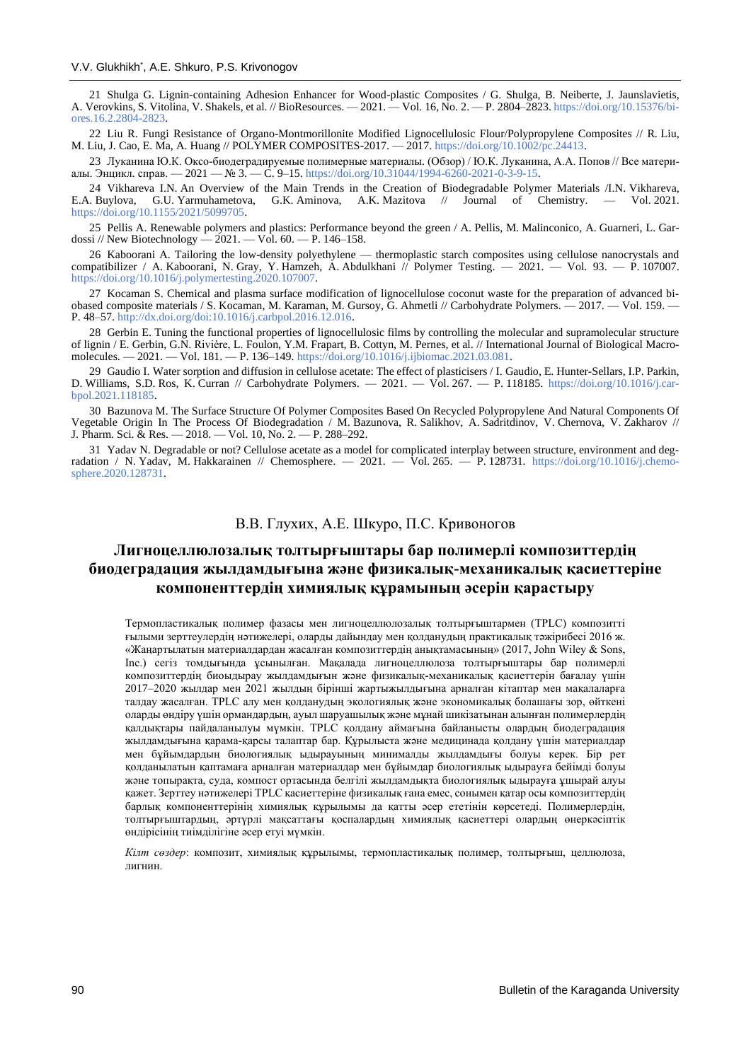21 Shulga G. Lignin-containing Adhesion Enhancer for Wood-plastic Composites / G. Shulga, B. Neiberte, J. Jaunslavietis, A. Verovkins, S. Vitolina, V. Shakels, et al. // BioResources. — 2021. — Vol. 16, No. 2. — P. 2804–2823[. https://doi.org/10.15376/bi](https://doi.org/10.15376/biores.16.2.2804-2823)[ores.16.2.2804-2823.](https://doi.org/10.15376/biores.16.2.2804-2823)

22 Liu R. Fungi Resistance of Organo-Montmorillonite Modified Lignocellulosic Flour/Polypropylene Composites // R. Liu, M. Liu, J. Cao, E. Ma, A. Huang // POLYMER COMPOSITES-2017. — 2017[. https://doi.org/10.1002/pc.24413.](https://doi.org/10.1002/pc.24413)

23 Луканина Ю.К. Оксо-биодеградируемые полимерные материалы. (Обзор) / Ю.К. Луканина, А.А. Попов // Все матери-алы. Энцикл. справ. — 2021 — № 3. — С. 9–15[. https://doi.org/10.31044/1994-6260-2021-0-3-9-15.](https://doi.org/10.31044/1994-6260-2021-0-3-9-15)

24 Vikhareva I.N. An Overview of the Main Trends in the Creation of Biodegradable Polymer Materials /I.N. Vikhareva, E.A. Buylova, G.U. Yarmuhametova, G.K. Aminova, A.K. Mazitova // Journal of Chemistry. — Vol. 2021. G.K. Aminova, A.K. Mazitova // [https://doi.org/10.1155/2021/5099705.](https://doi.org/10.1155/2021/5099705)

25 Pellis A. Renewable polymers and plastics: Performance beyond the green / A. Pellis, M. Malinconico, A. Guarneri, L. Gar-dossi // New Biotechnology — 2021. — Vol. 60. — P. 146–158.  $-$  2021. — Vol. 60. — P. 146–158.

26 Kaboorani A. Tailoring the low-density polyethylene — thermoplastic starch composites using cellulose nanocrystals and compatibilizer / A. Kaboorani, N. Gray, Y. Hamzeh, A. Abdulkhani // Polymer Testing. — 2021. — Vol. 93. — P. 107007. [https://doi.org/10.1016/j.polymertesting.2020.107007.](https://doi.org/10.1016/j.polymertesting.2020.107007)

27 Kocaman S. Chemical and plasma surface modification of lignocellulose coconut waste for the preparation of advanced biobased composite materials / S. Kocaman, M. Karaman, M. Gursoy, G. Ahmetli // Carbohydrate Polymers. — 2017. — Vol. 159. — P. 48–57. [http://dx.doi.org/doi:10.1016/j.carbpol.2016.12.016.](http://dx.doi.org/doi:10.1016/j.carbpol.2016.12.016)

28 Gerbin E. Tuning the functional properties of lignocellulosic films by controlling the molecular and supramolecular structure of lignin / E. Gerbin, G.N. Rivière, L. Foulon, Y.M. Frapart, B. Cottyn, M. Pernes, et al. // International Journal of Biological Macromolecules. — 2021. — Vol. 181. — P. 136–149[. https://doi.org/10.1016/j.ijbiomac.2021.03.081.](https://doi.org/10.1016/j.ijbiomac.2021.03.081)

29 Gaudio I. Water sorption and diffusion in cellulose acetate: The effect of plasticisers / I. Gaudio, E. Hunter-Sellars, I.P. Parkin, D. Williams, S.D. Ros, K. Curran // Carbohydrate Polymers. — 2021. — Vol. 267. — P. 118185. [https://doi.org/10.1016/j.car](https://doi.org/10.1016/j.carbpol.2021.118185)[bpol.2021.118185.](https://doi.org/10.1016/j.carbpol.2021.118185)

30 Bazunova M. The Surface Structure Of Polymer Composites Based On Recycled Polypropylene And Natural Components Of Vegetable Origin In The Process Of Biodegradation / M. Bazunova, R. Salikhov, A. Sadritdinov, V. Chernova, V. Zakharov // J. Pharm. Sci. & Res. — 2018. — Vol. 10, No. 2. — P. 288–292.

31 Yadav N. Degradable or not? Cellulose acetate as a model for complicated interplay between structure, environment and degradation / N. Yadav, M. Hakkarainen // Chemosphere. — 2021. — Vol. 265. — P. 128731. [https://doi.org/10.1016/j.chemo](https://doi.org/10.1016/j.chemosphere.2020.128731)[sphere.2020.128731.](https://doi.org/10.1016/j.chemosphere.2020.128731)

## В.В. Глухих, А.Е. Шкуро, П.С. Кривоногов

# **Лигноцеллюлозалық толтырғыштары бар полимерлі композиттердің биодеградация жылдамдығына және физикалық-механикалық қасиеттеріне компоненттердің химиялық құрамының әсерін қарастыру**

Термопластикалық полимер фазасы мен лигноцеллюлозалық толтырғыштармен (TPLC) композитті ғылыми зерттеулердің нәтижелері, оларды дайындау мен қолданудың практикалық тәжірибесі 2016 ж. «Жаңартылатын материалдардан жасалған композиттердің анықтамасының» (2017, John Wiley & Sons, Inc.) сегіз томдығында ұсынылған. Мақалада лигноцеллюлоза толтырғыштары бар полимерлі композиттердің биоыдырау жылдамдығын және физикалық-механикалық қасиеттерін бағалау үшін 2017–2020 жылдар мен 2021 жылдың бірінші жартыжылдығына арналған кітаптар мен мақалаларға талдау жасалған. TPLC алу мен қолданудың экологиялық және экономикалық болашағы зор, өйткені оларды өндіру үшін ормандардың, ауыл шаруашылық және мұнай шикізатынан алынған полимерлердің қалдықтары пайдаланылуы мүмкін. TPLC қолдану аймағына байланысты олардың биодеградация жылдамдығына қарама-қарсы талаптар бар. Құрылыста және медицинада қолдану үшін материалдар мен бұйымдардың биологиялық ыдырауының минималды жылдамдығы болуы керек. Бір рет қолданылатын қаптамаға арналған материалдар мен бұйымдар биологиялық ыдырауға бейімді болуы және топырақта, суда, компост ортасында белгілі жылдамдықта биологиялық ыдырауға ұшырай алуы қажет. Зерттеу нәтижелері TPLC қасиеттеріне физикалық ғана емес, сонымен қатар осы композиттердің барлық компоненттерінің химиялық құрылымы да қатты әсер ететінін көрсетеді. Полимерлердің, толтырғыштардың, әртүрлі мақсаттағы қоспалардың химиялық қасиеттері олардың өнеркәсіптік өндірісінің тиімділігіне әсер етуі мүмкін.

*Кілт сөздер*: композит, химиялық құрылымы, термопластикалық полимер, толтырғыш, целлюлоза, лигнин.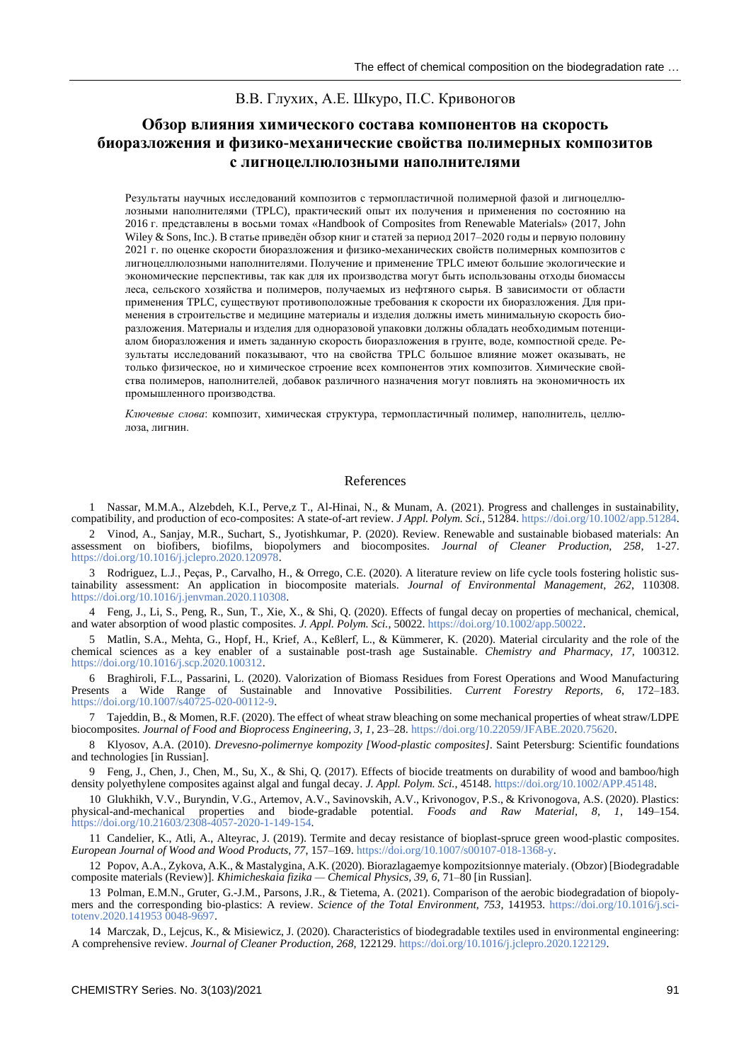## В.В. Глухих, А.Е. Шкуро, П.С. Кривоногов

# **Обзор влияния химического состава компонентов на скорость биоразложения и физико-механические свойства полимерных композитов с лигноцеллюлозными наполнителями**

Результаты научных исследований композитов с термопластичной полимерной фазой и лигноцеллюлозными наполнителями (TPLC), практический опыт их получения и применения по состоянию на 2016 г. представлены в восьми томах «Handbook of Composites from Renewable Materials» (2017, John Wiley & Sons, Inc.). В статье приведён обзор книг и статей за период 2017–2020 годы и первую половину 2021 г. по оценке скорости биоразложения и физико-механических свойств полимерных композитов с лигноцеллюлозными наполнителями. Получение и применение TPLC имеют большие экологические и экономические перспективы, так как для их производства могут быть использованы отходы биомассы леса, сельского хозяйства и полимеров, получаемых из нефтяного сырья. В зависимости от области применения TPLC, существуют противоположные требования к скорости их биоразложения. Для применения в строительстве и медицине материалы и изделия должны иметь минимальную скорость биоразложения. Материалы и изделия для одноразовой упаковки должны обладать необходимым потенциалом биоразложения и иметь заданную скорость биоразложения в грунте, воде, компостной среде. Результаты исследований показывают, что на свойства TPLC большое влияние может оказывать, не только физическое, но и химическое строение всех компонентов этих композитов. Химические свойства полимеров, наполнителей, добавок различного назначения могут повлиять на экономичность их промышленного производства.

*Ключевые слова*: композит, химическая структура, термопластичный полимер, наполнитель, целлюлоза, лигнин.

#### References

1 Nassar, M.M.A., Alzebdeh, K.I., Perve,z T., Al-Hinai, N., & Munam, A. (2021). Progress and challenges in sustainability, compatibility, and production of eco-composites: A state-of-art review. *J Appl. Polym. Sci.*, 51284[. https://doi.org/10.1002/app.51284.](https://doi.org/10.1002/app.51284)

2 Vinod, A., Sanjay, M.R., Suchart, S., Jyotishkumar, P. (2020). Review. Renewable and sustainable biobased materials: An assessment on biofibers, biofilms, biopolymers and biocomposites. *Journal of Cleaner Production, 258*, 1-27. [https://doi.org/10.1016/j.jclepro.2020.120978.](https://doi.org/10.1016/j.jclepro.2020.120978)

Rodriguez, L.J., Peças, P., Carvalho, H., & Orrego, C.E. (2020). A literature review on life cycle tools fostering holistic sustainability assessment: An application in biocomposite materials. *Journal of Environmental Management, 262*, 110308. [https://doi.org/10.1016/j.jenvman.2020.110308.](https://doi.org/10.1016/j.jenvman.2020.110308)

4 Feng, J., Li, S., Peng, R., Sun, T., Xie, X., & Shi, Q. (2020). Effects of fungal decay on properties of mechanical, chemical, and water absorption of wood plastic composites. *J. Appl. Polym. Sci.*, 50022[. https://doi.org/10.1002/app.50022.](https://doi.org/10.1002/app.50022)

5 Matlin, S.A., Mehta, G., Hopf, H., Krief, A., Keßlerf, L., & Kümmerer, K. (2020). Material circularity and the role of the chemical sciences as a key enabler of a sustainable post-trash age Sustainable. *Chemistry and Pharmacy, 17*, 100312. [https://doi.org/10.1016/j.scp.2020.100312.](https://doi.org/10.1016/j.scp.2020.100312)

6 Braghiroli, F.L., Passarini, L. (2020). Valorization of Biomass Residues from Forest Operations and Wood Manufacturing Presents a Wide Range of Sustainable and Innovative Possibilities. *Current Forestry Reports, 6*, 172–183. [https://doi.org/10.1007/s40725-020-00112-9.](https://doi.org/10.1007/s40725-020-00112-9)

7 Tajeddin, B., & Momen, R.F. (2020). The effect of wheat straw bleaching on some mechanical properties of wheat straw/LDPE biocomposites. *Journal of Food and Bioprocess Engineering, 3, 1*, 23–28. [https://doi.org/10.22059/JFABE.2020.75620.](https://doi.org/10.22059/JFABE.2020.75620)

8 Klyosov, A.A. (2010). *Drevesno-polimernye kompozity [Wood-plastic composites]*. Saint Petersburg: Scientific foundations and technologies [in Russian].

9 Feng, J., Chen, J., Chen, M., Su, X., & Shi, Q. (2017). Effects of biocide treatments on durability of wood and bamboo/high density polyethylene composites against algal and fungal decay. *J. Appl. Polym. Sci.*, 45148. [https://doi.org/10.1002/APP.45148.](https://doi.org/10.1002/APP.45148)

10 Glukhikh, V.V., Buryndin, V.G., Artemov, A.V., Savinovskih, A.V., Krivonogov, P.S., & Krivonogova, A.S. (2020). Plastics: physical-and-mechanical properties and biode-gradable potential. *Foods and Raw Material, 8, 1*, 149–154. [https://doi.org/10.21603/2308-4057-2020-1-149-154.](https://doi.org/10.21603/2308-4057-2020-1-149-154)

11 Candelier, K., Atli, A., Alteyrac, J. (2019). Termite and decay resistance of bioplast-spruce green wood-plastic composites. *European Journal of Wood and Wood Products, 77*, 157–169[. https://doi.org/10.1007/s00107-018-1368-y.](https://doi.org/10.1007/s00107-018-1368-y)

12 Popov, A.A., Zykova, A.K., & Mastalygina, A.K. (2020). Biorazlagaemye kompozitsionnye materialy. (Obzor) [Biodegradable composite materials (Review)]. *Khimicheskaia fizika — Chemical Physics, 39, 6*, 71–80 [in Russian].

13 Polman, E.M.N., Gruter, G.-J.M., Parsons, J.R., & Tietema, A. (2021). Comparison of the aerobic biodegradation of biopolymers and the corresponding bio-plastics: A review. *Science of the Total Environment, 753*, 141953. [https://doi.org/10.1016/j.sci](https://doi.org/10.1016/j.scitotenv.2020.141953 0048-9697)[totenv.2020.141953](https://doi.org/10.1016/j.scitotenv.2020.141953 0048-9697) 0048-9697.

14 Marczak, D., Lejcus, K., & Misiewicz, J. (2020). Characteristics of biodegradable textiles used in environmental engineering: A comprehensive review. *Journal of Cleaner Production, 268*, 122129[. https://doi.org/10.1016/j.jclepro.2020.122129.](https://doi.org/10.1016/j.jclepro.2020.122129)